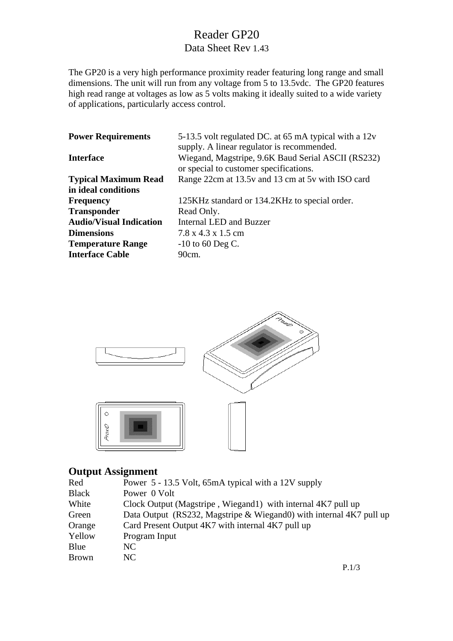# Reader GP20 Data Sheet Rev 1.43

The GP20 is a very high performance proximity reader featuring long range and small dimensions. The unit will run from any voltage from 5 to 13.5vdc. The GP20 features high read range at voltages as low as 5 volts making it ideally suited to a wide variety of applications, particularly access control.

| <b>Power Requirements</b>      | 5-13.5 volt regulated DC. at 65 mA typical with a 12v<br>supply. A linear regulator is recommended. |
|--------------------------------|-----------------------------------------------------------------------------------------------------|
| <b>Interface</b>               | Wiegand, Magstripe, 9.6K Baud Serial ASCII (RS232)<br>or special to customer specifications.        |
| <b>Typical Maximum Read</b>    | Range 22cm at 13.5v and 13 cm at 5v with ISO card                                                   |
| in ideal conditions            |                                                                                                     |
| <b>Frequency</b>               | 125KHz standard or 134.2KHz to special order.                                                       |
| <b>Transponder</b>             | Read Only.                                                                                          |
| <b>Audio/Visual Indication</b> | Internal LED and Buzzer                                                                             |
| <b>Dimensions</b>              | $7.8 \times 4.3 \times 1.5$ cm                                                                      |
| <b>Temperature Range</b>       | $-10$ to 60 Deg C.                                                                                  |
| <b>Interface Cable</b>         | $90cm$ .                                                                                            |



## **Output Assignment**

| Red          | Power 5 - 13.5 Volt, 65mA typical with a 12V supply                 |
|--------------|---------------------------------------------------------------------|
| <b>Black</b> | Power 0 Volt                                                        |
| White        | Clock Output (Magstripe, Wiegand1) with internal 4K7 pull up        |
| Green        | Data Output (RS232, Magstripe & Wiegand0) with internal 4K7 pull up |
| Orange       | Card Present Output 4K7 with internal 4K7 pull up                   |
| Yellow       | Program Input                                                       |
| Blue         | NC.                                                                 |
| <b>Brown</b> | NC.                                                                 |
|              |                                                                     |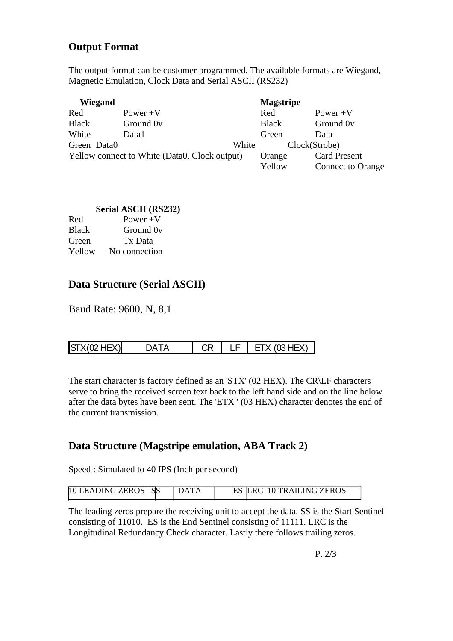# **Output Format**

The output format can be customer programmed. The available formats are Wiegand, Magnetic Emulation, Clock Data and Serial ASCII (RS232)

| Wiegand      |                                               |       | <b>Magstripe</b> |                                                 |
|--------------|-----------------------------------------------|-------|------------------|-------------------------------------------------|
| Red          | Power $+V$                                    |       | Red              | Power $+V$                                      |
| <b>Black</b> | Ground 0 <sub>v</sub>                         |       | <b>Black</b>     | Ground 0 <sub>v</sub>                           |
| White        | Data1                                         |       | Green            | Data                                            |
| Green Data0  |                                               | White |                  | Clock(Strobe)                                   |
|              | Yellow connect to White (Data0, Clock output) |       | Orange<br>Yellow | <b>Card Present</b><br><b>Connect to Orange</b> |

#### **Serial ASCII (RS232)**

| Red          | Power $+V$    |
|--------------|---------------|
| <b>Black</b> | Ground Ov     |
| Green        | Tx Data       |
| Yellow       | No connection |

# **Data Structure (Serial ASCII)**

Baud Rate: 9600, N, 8,1

| ls<br>$\cdot$ |
|---------------|
|---------------|

The start character is factory defined as an 'STX' (02 HEX). The CR\LF characters serve to bring the received screen text back to the left hand side and on the line below after the data bytes have been sent. The 'ETX ' (03 HEX) character denotes the end of the current transmission.

### **Data Structure (Magstripe emulation, ABA Track 2)**

Speed : Simulated to 40 IPS (Inch per second)

| <b>10 LEADING ZEROS</b> | SS | $\mathbf I$ | <b>10 TRAILING ZEROS</b> |
|-------------------------|----|-------------|--------------------------|
|                         |    |             |                          |

The leading zeros prepare the receiving unit to accept the data. SS is the Start Sentinel consisting of 11010. ES is the End Sentinel consisting of 11111. LRC is the Longitudinal Redundancy Check character. Lastly there follows trailing zeros.

P. 2/3